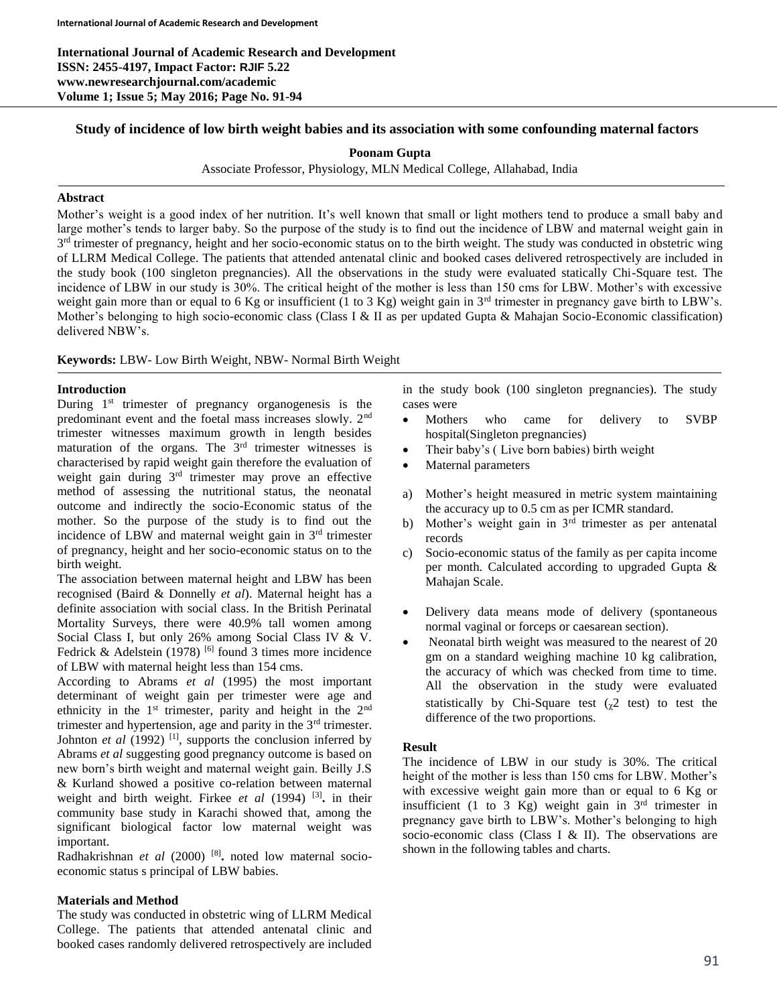**International Journal of Academic Research and Development ISSN: 2455-4197, Impact Factor: RJIF 5.22 www.newresearchjournal.com/academic Volume 1; Issue 5; May 2016; Page No. 91-94**

# **Study of incidence of low birth weight babies and its association with some confounding maternal factors**

#### **Poonam Gupta**

Associate Professor, Physiology, MLN Medical College, Allahabad, India

## **Abstract**

Mother's weight is a good index of her nutrition. It's well known that small or light mothers tend to produce a small baby and large mother's tends to larger baby. So the purpose of the study is to find out the incidence of LBW and maternal weight gain in 3<sup>rd</sup> trimester of pregnancy, height and her socio-economic status on to the birth weight. The study was conducted in obstetric wing of LLRM Medical College. The patients that attended antenatal clinic and booked cases delivered retrospectively are included in the study book (100 singleton pregnancies). All the observations in the study were evaluated statically Chi-Square test. The incidence of LBW in our study is 30%. The critical height of the mother is less than 150 cms for LBW. Mother's with excessive weight gain more than or equal to 6 Kg or insufficient (1 to 3 Kg) weight gain in  $3<sup>rd</sup>$  trimester in pregnancy gave birth to LBW's. Mother's belonging to high socio-economic class (Class I & II as per updated Gupta & Mahajan Socio-Economic classification) delivered NBW's.

#### **Keywords:** LBW- Low Birth Weight, NBW- Normal Birth Weight

## **Introduction**

During 1<sup>st</sup> trimester of pregnancy organogenesis is the predominant event and the foetal mass increases slowly. 2nd trimester witnesses maximum growth in length besides maturation of the organs. The  $3<sup>rd</sup>$  trimester witnesses is characterised by rapid weight gain therefore the evaluation of weight gain during 3<sup>rd</sup> trimester may prove an effective method of assessing the nutritional status, the neonatal outcome and indirectly the socio-Economic status of the mother. So the purpose of the study is to find out the incidence of LBW and maternal weight gain in  $3<sup>rd</sup>$  trimester of pregnancy, height and her socio-economic status on to the birth weight.

The association between maternal height and LBW has been recognised (Baird & Donnelly *et al*). Maternal height has a definite association with social class. In the British Perinatal Mortality Surveys, there were 40.9% tall women among Social Class I, but only 26% among Social Class IV & V. Fedrick & Adelstein (1978)  $[6]$  found 3 times more incidence of LBW with maternal height less than 154 cms.

According to Abrams *et al* (1995) the most important determinant of weight gain per trimester were age and ethnicity in the 1<sup>st</sup> trimester, parity and height in the 2<sup>nd</sup> trimester and hypertension, age and parity in the  $3<sup>rd</sup>$  trimester. Johnton *et al* (1992)<sup>[1]</sup>, supports the conclusion inferred by Abrams *et al* suggesting good pregnancy outcome is based on new born's birth weight and maternal weight gain. Beilly J.S & Kurland showed a positive co-relation between maternal weight and birth weight. Firkee *et al* (1994) [3] **.** in their community base study in Karachi showed that, among the significant biological factor low maternal weight was important.

Radhakrishnan *et al* (2000)<sup>[8]</sup>. noted low maternal socioeconomic status s principal of LBW babies.

#### **Materials and Method**

The study was conducted in obstetric wing of LLRM Medical College. The patients that attended antenatal clinic and booked cases randomly delivered retrospectively are included

in the study book (100 singleton pregnancies). The study cases were

- Mothers who came for delivery to SVBP hospital(Singleton pregnancies)
- Their baby's ( Live born babies) birth weight
- Maternal parameters
- a) Mother's height measured in metric system maintaining the accuracy up to 0.5 cm as per ICMR standard.
- b) Mother's weight gain in 3<sup>rd</sup> trimester as per antenatal records
- c) Socio-economic status of the family as per capita income per month. Calculated according to upgraded Gupta & Mahajan Scale.
- Delivery data means mode of delivery (spontaneous normal vaginal or forceps or caesarean section).
- Neonatal birth weight was measured to the nearest of 20 gm on a standard weighing machine 10 kg calibration, the accuracy of which was checked from time to time. All the observation in the study were evaluated statistically by Chi-Square test  $(_{2}2$  test) to test the difference of the two proportions.

#### **Result**

The incidence of LBW in our study is 30%. The critical height of the mother is less than 150 cms for LBW. Mother's with excessive weight gain more than or equal to 6 Kg or insufficient (1 to 3 Kg) weight gain in  $3<sup>rd</sup>$  trimester in pregnancy gave birth to LBW's. Mother's belonging to high socio-economic class (Class I & II). The observations are shown in the following tables and charts.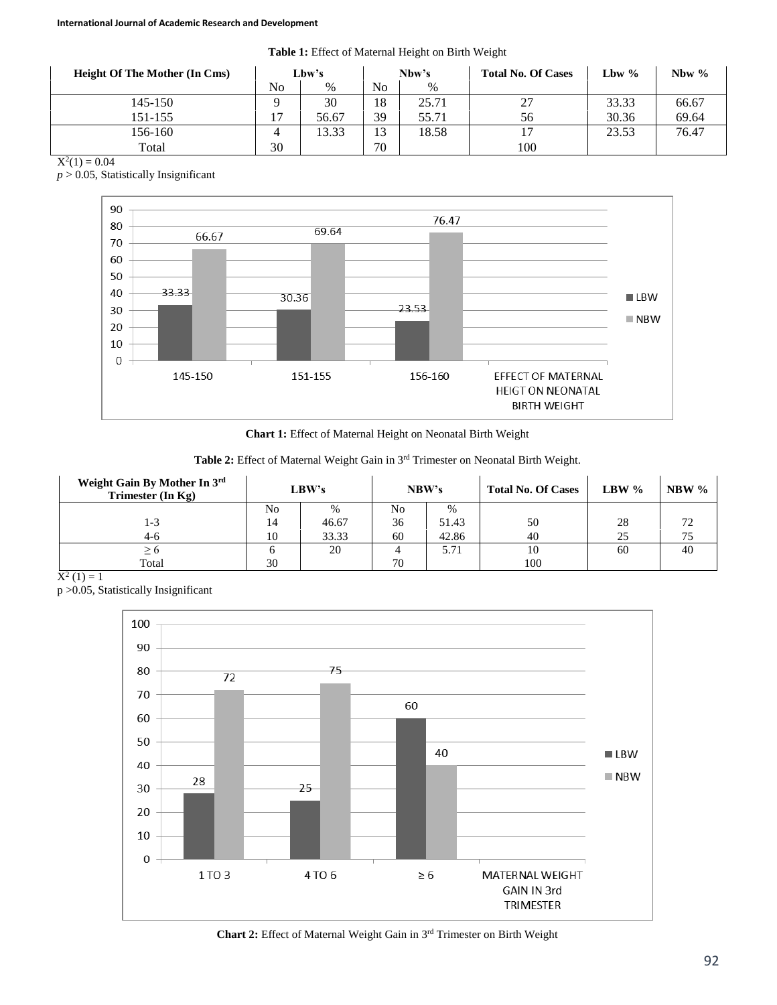**Table 1:** Effect of Maternal Height on Birth Weight

| <b>Height Of The Mother (In Cms)</b> | Lbw's |       | Nbw's |       | <b>Total No. Of Cases</b> | Lbw % | Nbw $\%$ |
|--------------------------------------|-------|-------|-------|-------|---------------------------|-------|----------|
|                                      | No    | $\%$  | No    | $\%$  |                           |       |          |
| 145-150                              |       | 30    | 18    | 25.71 | 27                        | 33.33 | 66.67    |
| 151-155                              |       | 56.67 | 39    | 55.71 | 56                        | 30.36 | 69.64    |
| 156-160                              |       | 13.33 | 13    | 18.58 |                           | 23.53 | 76.47    |
| Total                                | 30    |       | 70    |       | 100                       |       |          |

 $X^2(1) = 0.04$ 

*p* > 0.05, Statistically Insignificant



**Chart 1:** Effect of Maternal Height on Neonatal Birth Weight

Table 2: Effect of Maternal Weight Gain in 3<sup>rd</sup> Trimester on Neonatal Birth Weight.

| Weight Gain By Mother In 3rd<br>Trimester $(In Kg)$ | LBW's |       | NBW's |       | <b>Total No. Of Cases</b> | LBW $\%$ | NBW $\%$ |
|-----------------------------------------------------|-------|-------|-------|-------|---------------------------|----------|----------|
|                                                     | No    | $\%$  | No    | $\%$  |                           |          |          |
| 1-3                                                 | 14    | 46.67 | 36    | 51.43 | 50                        | 28       | 72       |
| $4-6$                                               | 10    | 33.33 | 60    | 42.86 | 40                        | 25       |          |
| >6                                                  |       | 20    |       | 5.71  | 10                        | 60       | 40       |
| Total                                               | 30    |       | 70    |       | 100                       |          |          |

 $X^2(1) = 1$ 

p >0.05, Statistically Insignificant



Chart 2: Effect of Maternal Weight Gain in 3<sup>rd</sup> Trimester on Birth Weight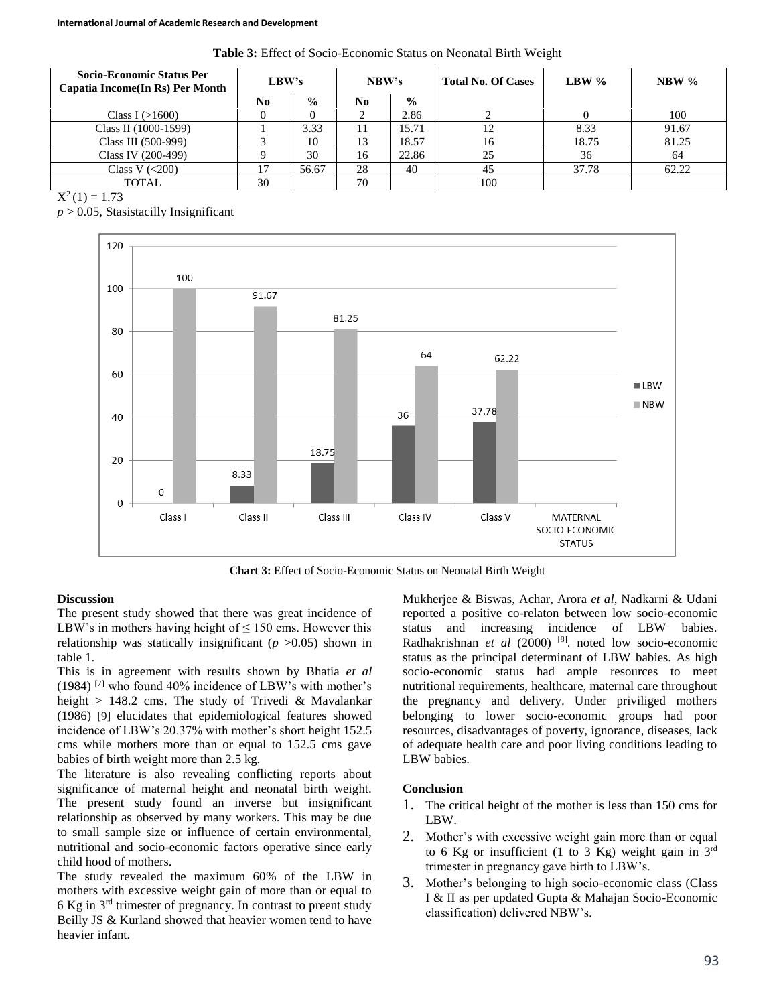**Table 3:** Effect of Socio-Economic Status on Neonatal Birth Weight

| <b>Socio-Economic Status Per</b><br>Capatia Income(In Rs) Per Month | LBW's          |               | NBW's          |               | <b>Total No. Of Cases</b> | LBW $\%$ | $NBW\%$ |
|---------------------------------------------------------------------|----------------|---------------|----------------|---------------|---------------------------|----------|---------|
|                                                                     | N <sub>0</sub> | $\frac{0}{0}$ | N <sub>0</sub> | $\frac{6}{9}$ |                           |          |         |
| Class I $(>1600)$                                                   |                |               |                | 2.86          |                           |          | 100     |
| Class II (1000-1599)                                                |                | 3.33          | 11             | 15.71         | 12                        | 8.33     | 91.67   |
| Class III (500-999)                                                 |                | 10            | 13             | 18.57         | 16                        | 18.75    | 81.25   |
| Class IV (200-499)                                                  |                | 30            | 16             | 22.86         | 25                        | 36       | 64      |
| Class V $(<200)$                                                    | 17             | 56.67         | 28             | 40            | 45                        | 37.78    | 62.22   |
| <b>TOTAL</b>                                                        | 30             |               | 70             |               | 100                       |          |         |

 $\overline{X^2(1)} = 1.73$ 

 $p > 0.05$ , Stasistacilly Insignificant



**Chart 3:** Effect of Socio-Economic Status on Neonatal Birth Weight

## **Discussion**

The present study showed that there was great incidence of LBW's in mothers having height of  $\leq 150$  cms. However this relationship was statically insignificant  $(p > 0.05)$  shown in table 1.

This is in agreement with results shown by Bhatia *et al*  $(1984)$ <sup>[7]</sup> who found 40% incidence of LBW's with mother's height  $> 148.2$  cms. The study of Trivedi & Mavalankar (1986) [9] elucidates that epidemiological features showed incidence of LBW's 20.37% with mother's short height 152.5 cms while mothers more than or equal to 152.5 cms gave babies of birth weight more than 2.5 kg.

The literature is also revealing conflicting reports about significance of maternal height and neonatal birth weight. The present study found an inverse but insignificant relationship as observed by many workers. This may be due to small sample size or influence of certain environmental, nutritional and socio-economic factors operative since early child hood of mothers.

The study revealed the maximum 60% of the LBW in mothers with excessive weight gain of more than or equal to 6 Kg in 3rd trimester of pregnancy. In contrast to preent study Beilly JS & Kurland showed that heavier women tend to have heavier infant.

Mukherjee & Biswas, Achar, Arora *et al*, Nadkarni & Udani reported a positive co-relaton between low socio-economic status and increasing incidence of LBW babies. Radhakrishnan *et al* (2000) <sup>[8]</sup>. noted low socio-economic status as the principal determinant of LBW babies. As high socio-economic status had ample resources to meet nutritional requirements, healthcare, maternal care throughout the pregnancy and delivery. Under priviliged mothers belonging to lower socio-economic groups had poor resources, disadvantages of poverty, ignorance, diseases, lack of adequate health care and poor living conditions leading to LBW babies.

# **Conclusion**

- 1. The critical height of the mother is less than 150 cms for LBW.
- 2. Mother's with excessive weight gain more than or equal to 6 Kg or insufficient (1 to 3 Kg) weight gain in  $3<sup>rd</sup>$ trimester in pregnancy gave birth to LBW's.
- 3. Mother's belonging to high socio-economic class (Class I & II as per updated Gupta & Mahajan Socio-Economic classification) delivered NBW's.